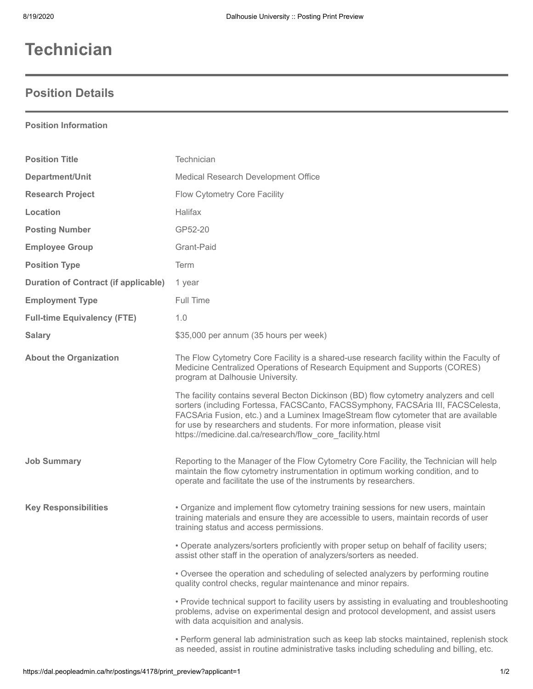## **Technician**

## **Position Details**

## **Position Information**

| <b>Position Title</b>                       | Technician                                                                                                                                                                                                                                                                                                                                                                                             |
|---------------------------------------------|--------------------------------------------------------------------------------------------------------------------------------------------------------------------------------------------------------------------------------------------------------------------------------------------------------------------------------------------------------------------------------------------------------|
| Department/Unit                             | Medical Research Development Office                                                                                                                                                                                                                                                                                                                                                                    |
| <b>Research Project</b>                     | Flow Cytometry Core Facility                                                                                                                                                                                                                                                                                                                                                                           |
| Location                                    | <b>Halifax</b>                                                                                                                                                                                                                                                                                                                                                                                         |
| <b>Posting Number</b>                       | GP52-20                                                                                                                                                                                                                                                                                                                                                                                                |
| <b>Employee Group</b>                       | Grant-Paid                                                                                                                                                                                                                                                                                                                                                                                             |
| <b>Position Type</b>                        | Term                                                                                                                                                                                                                                                                                                                                                                                                   |
| <b>Duration of Contract (if applicable)</b> | 1 year                                                                                                                                                                                                                                                                                                                                                                                                 |
| <b>Employment Type</b>                      | Full Time                                                                                                                                                                                                                                                                                                                                                                                              |
| <b>Full-time Equivalency (FTE)</b>          | 1.0                                                                                                                                                                                                                                                                                                                                                                                                    |
| <b>Salary</b>                               | \$35,000 per annum (35 hours per week)                                                                                                                                                                                                                                                                                                                                                                 |
| <b>About the Organization</b>               | The Flow Cytometry Core Facility is a shared-use research facility within the Faculty of<br>Medicine Centralized Operations of Research Equipment and Supports (CORES)<br>program at Dalhousie University.                                                                                                                                                                                             |
|                                             | The facility contains several Becton Dickinson (BD) flow cytometry analyzers and cell<br>sorters (including Fortessa, FACSCanto, FACSSymphony, FACSAria III, FACSCelesta,<br>FACSAria Fusion, etc.) and a Luminex ImageStream flow cytometer that are available<br>for use by researchers and students. For more information, please visit<br>https://medicine.dal.ca/research/flow_core_facility.html |
| <b>Job Summary</b>                          | Reporting to the Manager of the Flow Cytometry Core Facility, the Technician will help<br>maintain the flow cytometry instrumentation in optimum working condition, and to<br>operate and facilitate the use of the instruments by researchers.                                                                                                                                                        |
| <b>Key Responsibilities</b>                 | • Organize and implement flow cytometry training sessions for new users, maintain<br>training materials and ensure they are accessible to users, maintain records of user<br>training status and access permissions.                                                                                                                                                                                   |
|                                             | • Operate analyzers/sorters proficiently with proper setup on behalf of facility users;<br>assist other staff in the operation of analyzers/sorters as needed.                                                                                                                                                                                                                                         |
|                                             | . Oversee the operation and scheduling of selected analyzers by performing routine<br>quality control checks, regular maintenance and minor repairs.                                                                                                                                                                                                                                                   |
|                                             | • Provide technical support to facility users by assisting in evaluating and troubleshooting<br>problems, advise on experimental design and protocol development, and assist users<br>with data acquisition and analysis.                                                                                                                                                                              |
|                                             | • Perform general lab administration such as keep lab stocks maintained, replenish stock<br>as needed, assist in routine administrative tasks including scheduling and billing, etc.                                                                                                                                                                                                                   |